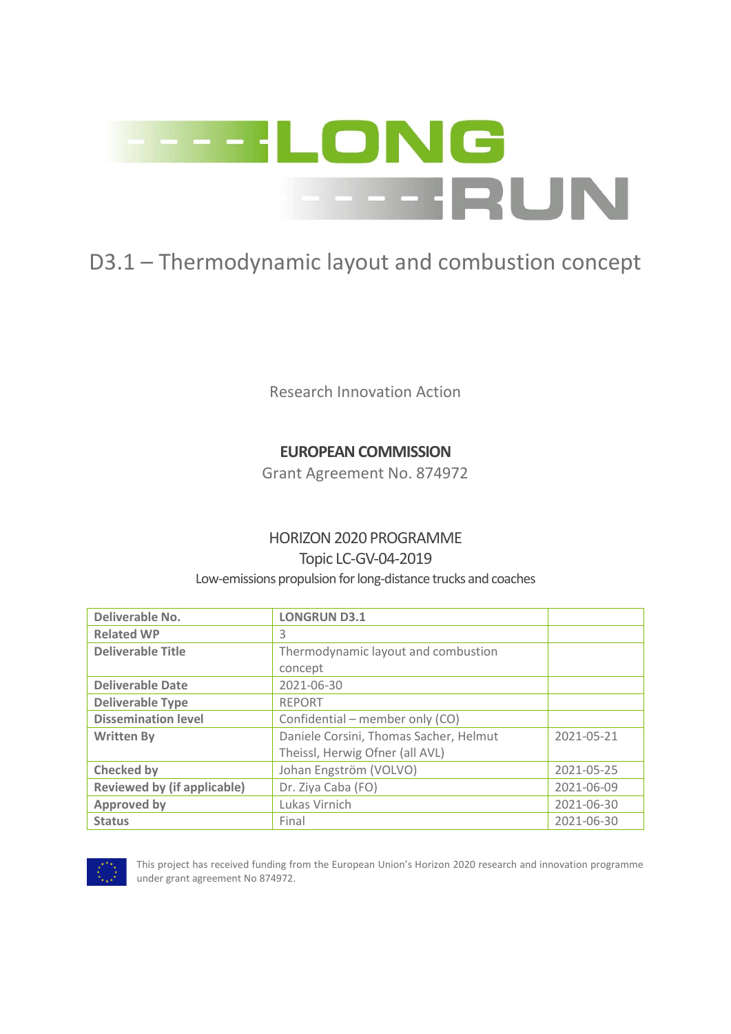

# D3.1 – Thermodynamic layout and combustion concept

Research Innovation Action

## **EUROPEAN COMMISSION**

Grant Agreement No. 874972

## HORIZON 2020 PROGRAMME

### Topic LC-GV-04-2019

#### Low-emissions propulsion for long-distance trucks and coaches

| Deliverable No.                    | <b>LONGRUN D3.1</b>                    |            |
|------------------------------------|----------------------------------------|------------|
| <b>Related WP</b>                  | 3                                      |            |
| <b>Deliverable Title</b>           | Thermodynamic layout and combustion    |            |
|                                    | concept                                |            |
| <b>Deliverable Date</b>            | 2021-06-30                             |            |
| <b>Deliverable Type</b>            | <b>REPORT</b>                          |            |
| <b>Dissemination level</b>         | Confidential – member only (CO)        |            |
| <b>Written By</b>                  | Daniele Corsini, Thomas Sacher, Helmut | 2021-05-21 |
|                                    | Theissl, Herwig Ofner (all AVL)        |            |
| <b>Checked by</b>                  | Johan Engström (VOLVO)                 | 2021-05-25 |
| <b>Reviewed by (if applicable)</b> | Dr. Ziya Caba (FO)                     | 2021-06-09 |
| <b>Approved by</b>                 | Lukas Virnich                          | 2021-06-30 |
| <b>Status</b>                      | Final                                  | 2021-06-30 |



This project has received funding from the European Union's Horizon 2020 research and innovation programme under grant agreement No 874972.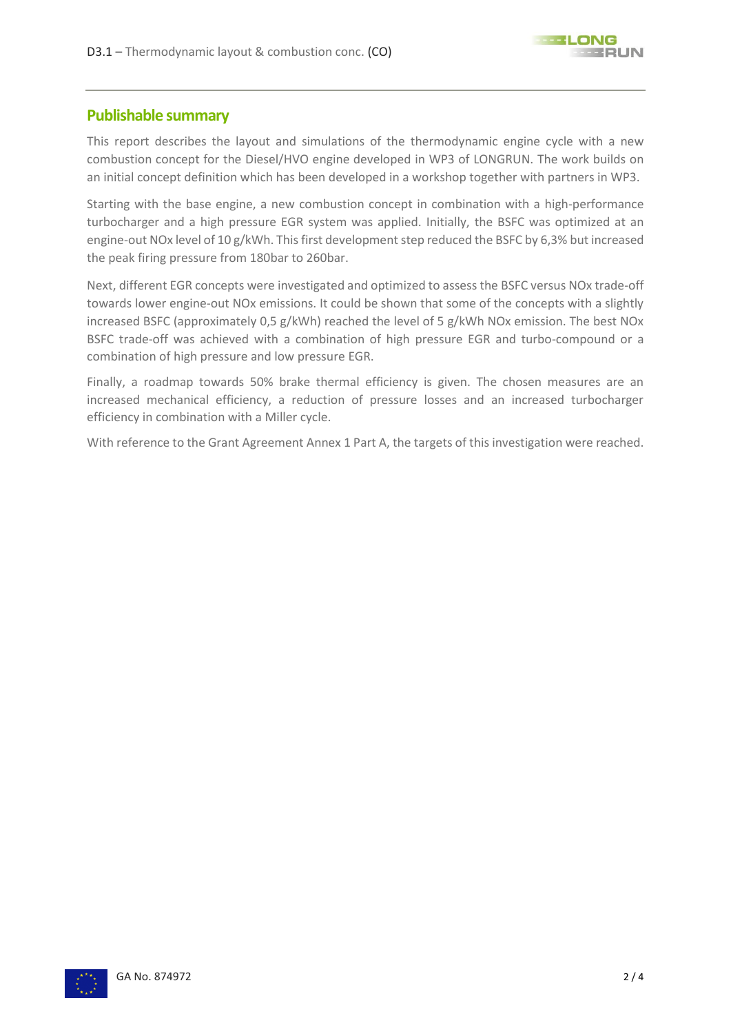#### **Publishable summary**

This report describes the layout and simulations of the thermodynamic engine cycle with a new combustion concept for the Diesel/HVO engine developed in WP3 of LONGRUN. The work builds on an initial concept definition which has been developed in a workshop together with partners in WP3.

Starting with the base engine, a new combustion concept in combination with a high-performance turbocharger and a high pressure EGR system was applied. Initially, the BSFC was optimized at an engine-out NOx level of 10 g/kWh. This first development step reduced the BSFC by 6,3% but increased the peak firing pressure from 180bar to 260bar.

Next, different EGR concepts were investigated and optimized to assess the BSFC versus NOx trade-off towards lower engine-out NOx emissions. It could be shown that some of the concepts with a slightly increased BSFC (approximately 0,5 g/kWh) reached the level of 5 g/kWh NOx emission. The best NOx BSFC trade-off was achieved with a combination of high pressure EGR and turbo-compound or a combination of high pressure and low pressure EGR.

Finally, a roadmap towards 50% brake thermal efficiency is given. The chosen measures are an increased mechanical efficiency, a reduction of pressure losses and an increased turbocharger efficiency in combination with a Miller cycle.

With reference to the Grant Agreement Annex 1 Part A, the targets of this investigation were reached.

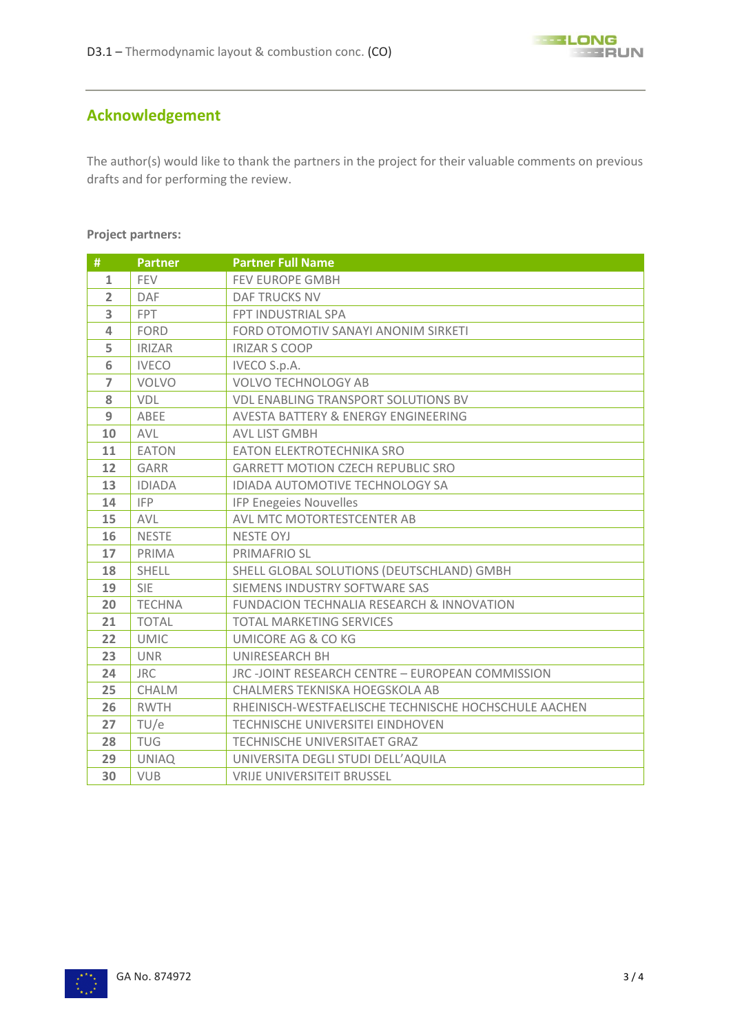

## **Acknowledgement**

The author(s) would like to thank the partners in the project for their valuable comments on previous drafts and for performing the review.

#### **Project partners:**

| #              | <b>Partner</b> | <b>Partner Full Name</b>                             |
|----------------|----------------|------------------------------------------------------|
| $\mathbf{1}$   | <b>FEV</b>     | FEV EUROPE GMBH                                      |
| $\overline{2}$ | DAF            | <b>DAF TRUCKS NV</b>                                 |
| 3              | <b>FPT</b>     | FPT INDUSTRIAL SPA                                   |
| $\overline{4}$ | <b>FORD</b>    | FORD OTOMOTIV SANAYI ANONIM SIRKETI                  |
| 5              | <b>IRIZAR</b>  | <b>IRIZAR S COOP</b>                                 |
| 6              | <b>IVECO</b>   | <b>IVECO S.p.A.</b>                                  |
| $\overline{7}$ | <b>VOLVO</b>   | <b>VOLVO TECHNOLOGY AB</b>                           |
| 8              | <b>VDL</b>     | <b>VDL ENABLING TRANSPORT SOLUTIONS BV</b>           |
| 9              | ABEE           | <b>AVESTA BATTERY &amp; ENERGY ENGINEERING</b>       |
| 10             | <b>AVL</b>     | AVL LIST GMBH                                        |
| 11             | <b>EATON</b>   | EATON ELEKTROTECHNIKA SRO                            |
| 12             | <b>GARR</b>    | <b>GARRETT MOTION CZECH REPUBLIC SRO</b>             |
| 13             | <b>IDIADA</b>  | IDIADA AUTOMOTIVE TECHNOLOGY SA                      |
| 14             | <b>IFP</b>     | <b>IFP Enegeies Nouvelles</b>                        |
| 15             | <b>AVL</b>     | AVL MTC MOTORTESTCENTER AB                           |
| 16             | <b>NESTE</b>   | <b>NESTE OYJ</b>                                     |
| 17             | PRIMA          | PRIMAFRIO SL                                         |
| 18             | SHELL          | SHELL GLOBAL SOLUTIONS (DEUTSCHLAND) GMBH            |
| 19             | <b>SIE</b>     | SIEMENS INDUSTRY SOFTWARE SAS                        |
| 20             | <b>TECHNA</b>  | FUNDACION TECHNALIA RESEARCH & INNOVATION            |
| 21             | <b>TOTAL</b>   | <b>TOTAL MARKETING SERVICES</b>                      |
| 22             | <b>UMIC</b>    | <b>UMICORE AG &amp; CO KG</b>                        |
| 23             | <b>UNR</b>     | UNIRESEARCH BH                                       |
| 24             | <b>JRC</b>     | JRC -JOINT RESEARCH CENTRE - EUROPEAN COMMISSION     |
| 25             | CHALM          | CHALMERS TEKNISKA HOEGSKOLA AB                       |
| 26             | <b>RWTH</b>    | RHEINISCH-WESTFAELISCHE TECHNISCHE HOCHSCHULE AACHEN |
| 27             | TU/e           | <b>TECHNISCHE UNIVERSITEI EINDHOVEN</b>              |
| 28             | <b>TUG</b>     | TECHNISCHE UNIVERSITAET GRAZ                         |
| 29             | <b>UNIAQ</b>   | UNIVERSITA DEGLI STUDI DELL'AQUILA                   |
| 30             | <b>VUB</b>     | <b>VRIJE UNIVERSITEIT BRUSSEL</b>                    |